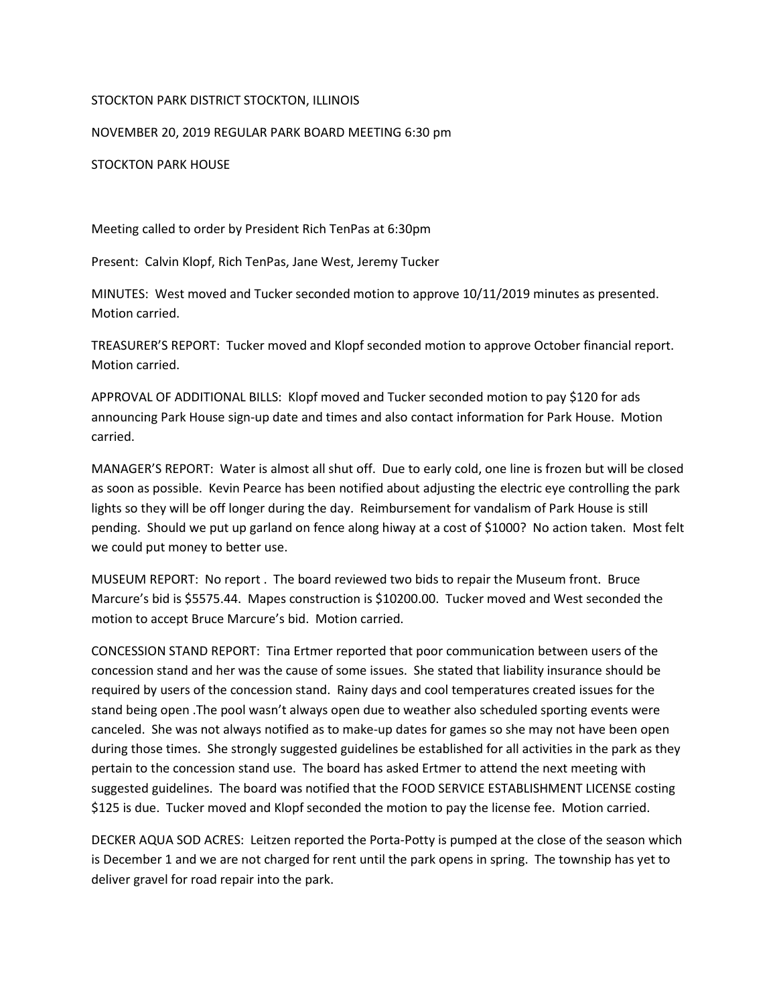## STOCKTON PARK DISTRICT STOCKTON, ILLINOIS

NOVEMBER 20, 2019 REGULAR PARK BOARD MEETING 6:30 pm

STOCKTON PARK HOUSE

Meeting called to order by President Rich TenPas at 6:30pm

Present: Calvin Klopf, Rich TenPas, Jane West, Jeremy Tucker

MINUTES: West moved and Tucker seconded motion to approve 10/11/2019 minutes as presented. Motion carried.

TREASURER'S REPORT: Tucker moved and Klopf seconded motion to approve October financial report. Motion carried.

APPROVAL OF ADDITIONAL BILLS: Klopf moved and Tucker seconded motion to pay \$120 for ads announcing Park House sign-up date and times and also contact information for Park House. Motion carried.

MANAGER'S REPORT: Water is almost all shut off. Due to early cold, one line is frozen but will be closed as soon as possible. Kevin Pearce has been notified about adjusting the electric eye controlling the park lights so they will be off longer during the day. Reimbursement for vandalism of Park House is still pending. Should we put up garland on fence along hiway at a cost of \$1000? No action taken. Most felt we could put money to better use.

MUSEUM REPORT: No report . The board reviewed two bids to repair the Museum front. Bruce Marcure's bid is \$5575.44. Mapes construction is \$10200.00. Tucker moved and West seconded the motion to accept Bruce Marcure's bid. Motion carried.

CONCESSION STAND REPORT: Tina Ertmer reported that poor communication between users of the concession stand and her was the cause of some issues. She stated that liability insurance should be required by users of the concession stand. Rainy days and cool temperatures created issues for the stand being open .The pool wasn't always open due to weather also scheduled sporting events were canceled. She was not always notified as to make-up dates for games so she may not have been open during those times. She strongly suggested guidelines be established for all activities in the park as they pertain to the concession stand use. The board has asked Ertmer to attend the next meeting with suggested guidelines. The board was notified that the FOOD SERVICE ESTABLISHMENT LICENSE costing \$125 is due. Tucker moved and Klopf seconded the motion to pay the license fee. Motion carried.

DECKER AQUA SOD ACRES: Leitzen reported the Porta-Potty is pumped at the close of the season which is December 1 and we are not charged for rent until the park opens in spring. The township has yet to deliver gravel for road repair into the park.